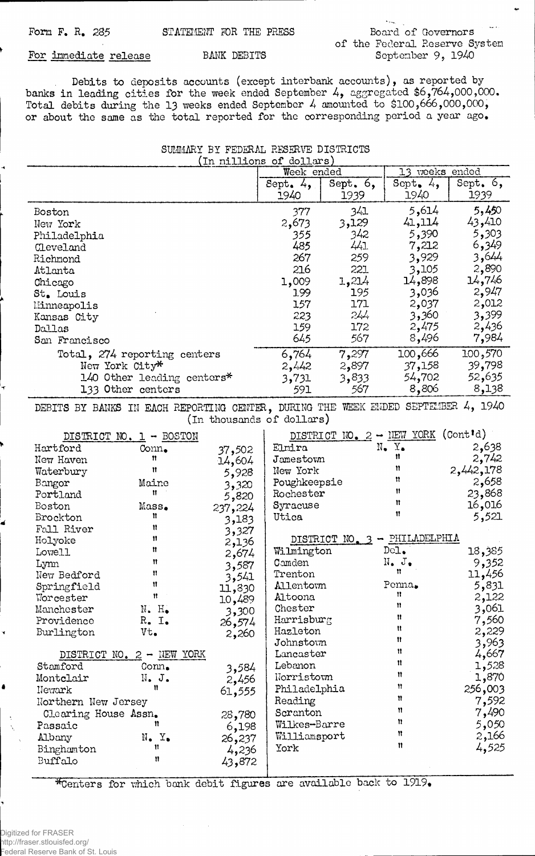## of the Federal Reserve System September 9, 1940

## For immediate release BANK DEBITS

Debits to deposits accounts (except interbank accounts), as reported by banks in leading cities for the week ended September 4, aggregated \$6,764,000,000. Total debits during the 13 weeks ended September 4 amounted to \$100,666,000,000, or about the same as the total reported for the corresponding period a year ago.

SUMMARY BY FEDERAL RESERVE DISTRICTS

| (In millions of dollars)                                                          |                              |                           |              |                           |                               |            |  |
|-----------------------------------------------------------------------------------|------------------------------|---------------------------|--------------|---------------------------|-------------------------------|------------|--|
|                                                                                   |                              |                           | Week ended   |                           | 13 veeks ended                |            |  |
|                                                                                   |                              |                           | Sept. $4,$   | Sept. $6,$                | Sept. $4,$                    | Sept. $6,$ |  |
|                                                                                   |                              |                           | 1940         | 1939                      | 1940                          | 1939       |  |
| Boston                                                                            |                              |                           | 377          | 341                       | 5,614                         | 5,450      |  |
|                                                                                   |                              |                           |              | 3,129                     | 41,114                        | 43,410     |  |
| New York                                                                          |                              |                           | 2,673        |                           |                               |            |  |
| Philadelphia                                                                      |                              |                           | 355          | 342                       | 5,390                         | 5,303      |  |
| Cleveland                                                                         |                              |                           | 485          | 441                       | 7,212                         | 6,349      |  |
| Richmond                                                                          |                              |                           | 267          | 259                       | 3,929                         | 3,644      |  |
| Atlanta                                                                           |                              |                           | 216          | 221                       | 3,105                         | 2,890      |  |
| Chicago                                                                           |                              |                           | 1,009        | 1,214                     | 14,898                        | 14,746     |  |
| St. Louis                                                                         |                              |                           | 199          | 195                       | 3,036                         | 2,947      |  |
| Minneapolis                                                                       |                              |                           | 157          | 171                       | 2,037                         | 2,012      |  |
| Kansas City                                                                       |                              |                           | 223          | 244                       | 3,360                         | 3,399      |  |
| Dallas                                                                            |                              |                           | 159          | 172                       | 2,475                         | 2,436      |  |
| San Francisco                                                                     |                              |                           | 645          | 567                       | 8,496                         | 7,984      |  |
|                                                                                   |                              |                           |              |                           |                               |            |  |
|                                                                                   | Total, 274 reporting centers |                           | 6,764        | 7,297                     | 100,666                       | 100,570    |  |
|                                                                                   | New York City*               |                           | 2,442        | 2,897                     | 37,158                        | 39,798     |  |
|                                                                                   | 140 Other leading centers*   |                           | 3,731        | 3,833                     | 54,702                        | 52,635     |  |
|                                                                                   | 133 Other centers            |                           | 591          | 567                       | 8,806                         | 8,138      |  |
| DEBITS BY BANKS IN EACH REPORTING CENTER, DURING THE WEEK ENDED SEPTEMBER 4, 1940 |                              |                           |              |                           |                               |            |  |
|                                                                                   |                              | (In thousands of dollars) |              |                           |                               |            |  |
|                                                                                   |                              |                           |              |                           |                               |            |  |
|                                                                                   | DISTRICT NO. 1 - BOSTON      |                           |              | DISTRICT NO. 2 - NEW YORK |                               | (Cont'd)   |  |
| Hartford                                                                          | Conn.                        | 37,502                    | Elmira       |                           | $N_{\bullet}$ $Y_{\bullet}$   | 2,638      |  |
| New Haven                                                                         | Ħ                            | 14,604                    | Jamestown    |                           | Ħ                             | 2,742      |  |
| Waterbury                                                                         | Ħ                            | 5,928                     | New York     |                           | n                             | 2,442,178  |  |
| Bangor                                                                            | Maine                        | 3,320                     | Poughkeepsie |                           | n                             | 2,658      |  |
| Portland                                                                          | Ħ                            | 5,820                     | Rochester    |                           | Ħ                             | 23,868     |  |
| <b>Boston</b>                                                                     | Mass.                        | 237,224                   | Syracuse     |                           | Ħ                             | 16,016     |  |
| Brockton                                                                          | Ħ                            | 3,183                     | Utica        |                           | Ħ                             | 5,521      |  |
| Fall River                                                                        | n                            | 3,327                     |              |                           |                               |            |  |
| Holyoke                                                                           | Ħ                            | 2,136                     |              |                           | DISTRICT NO. 3 - PHILADELPHIA |            |  |
| Lowell                                                                            | Ħ                            |                           | Wilmington   |                           | Dc1.                          | 18,385     |  |
| Lynn                                                                              | Ħ                            | 2,674                     | Camden       |                           | $N_{\bullet}$ $J_{\bullet}$   | 9,352      |  |
| New Bedford                                                                       | n                            | 3,587                     | Trenton      |                           | Ħ                             | 11,456     |  |
|                                                                                   | Ħ                            | 3,541                     | Allentown    |                           | Penna.                        |            |  |
| Springfield                                                                       | $\mathbf{H}$                 | 11,830                    | Altoona      |                           | n                             | 5,831      |  |
| Worcester                                                                         |                              | 10,489                    | Chester      |                           | 11                            | 2,122      |  |
| Manchester                                                                        | $N$ . $H_{\bullet}$          | 3,300                     |              |                           | Ħ                             | 3,061      |  |
| Providence                                                                        | $R_{\bullet}$ I.             | 26,574                    | Harrisburg   |                           | n                             | 7,560      |  |
| Burlington                                                                        | Vt.                          | 2,260                     | Hazleton     |                           | Ħ                             | 2,229      |  |
|                                                                                   |                              |                           | Johnstown    |                           | Ħ                             | 3,963      |  |
|                                                                                   | DISTRICT NO. 2 - NEW YORK    |                           | Lancaster    |                           | Ħ                             | 4,667      |  |
| Stamford                                                                          | $Com_{\bullet}$              | 3,584                     | Lebanon      |                           | n                             | 1,528      |  |
| Montclair                                                                         | N. J.                        | 2,456                     | Norristown   |                           |                               | 1,870      |  |
| Newark                                                                            | n                            | 61,555                    | Philadelphia |                           | Ħ                             | 256,003    |  |
| Northern New Jersey                                                               |                              | Reading                   |              | n                         | 7,592                         |            |  |
| Clearing House Assn.                                                              |                              | 28,780                    | Scranton     |                           | Ħ                             | 7,490      |  |
| Passaic                                                                           | n                            | 6,198                     | Wilkes-Barre |                           | Ħ                             | 5,050      |  |
| Albany                                                                            | $N_{\bullet}$ $Y_{\bullet}$  | 26,237                    | Williamsport |                           | Ħ                             | 2,166      |  |
| Binghamton                                                                        | Ħ                            | 4,236                     | York         |                           | Ħ                             | 4,525      |  |
| Buffalo                                                                           | n                            | 43,872                    |              |                           |                               |            |  |
|                                                                                   |                              |                           |              |                           |                               |            |  |

\*Centers for which bank debit figures are available back to 1919.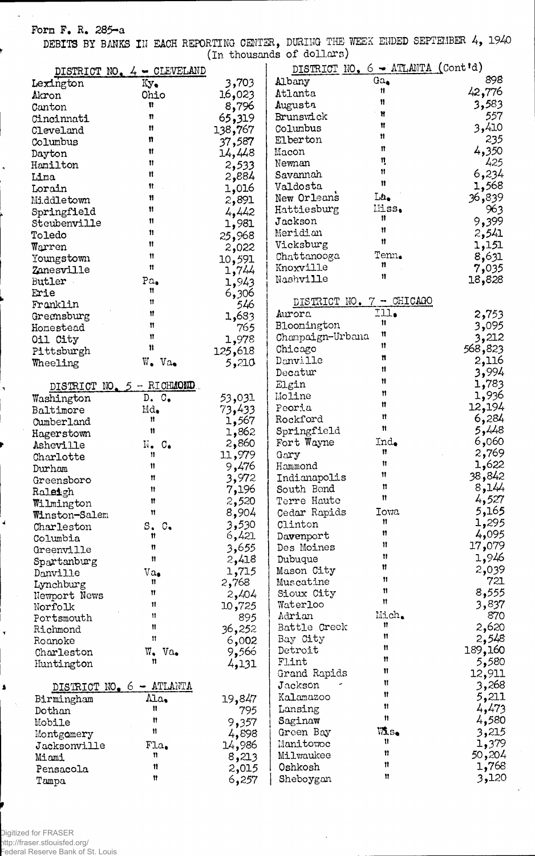## Form F. R. 285-a

 $\sim$ 

DEBITS BY BANKS III EACH REPORTING CENTER, DURING THE WEEK ENDED SEPTEMBER 4, 1940 (In thousands of dollars)

|                          |                                         |         | (TII niingemaa or aariim s)       |                |         |
|--------------------------|-----------------------------------------|---------|-----------------------------------|----------------|---------|
| DISTRICT NO.             | $4 - CLEVELAND$                         |         | DISTRICT NO. 6 - ATLANTA (Cont'd) |                |         |
| Lexington                | Ky.                                     | 3,703   | Albany                            | $0a_{\bullet}$ | 898     |
| Akron                    | Ohio                                    | 16,023  | Atlanta                           | Ħ              | 42,776  |
| Canton                   | Ħ                                       | 8,796   | Augusta                           | Ħ              | 3,583   |
| Cincinnati               | n                                       | 65,319  | Brunswick                         | Ħ              | 557     |
| Cleveland                | Ħ                                       | 138,767 | Columbus                          | Ħ              | 3,410   |
|                          | n                                       |         | Elberton                          | Ħ              | 235     |
| Columbus                 | Ħ                                       | 37,587  |                                   | Ħ              | 4,350   |
| Dayton                   |                                         | 14,448  | Macon                             | 1ļ             | 425     |
| Hamilton                 | Ħ                                       | 2,533   | Newnan                            | Ħ              |         |
| Lima                     | 11                                      | 2,884   | Savannah                          | Ħ              | 6,234   |
| Lorain                   | Ħ                                       | 1,016   | Valdosta                          |                | 1,568   |
| Middletown               | 11                                      | 2,891   | New Orleans                       | La.            | 36,839  |
| Springfield              | 11                                      | 4,442   | Hattiesburg                       | Miss.          | 963     |
| Steubenville             | n                                       | 1,981   | Jackson                           | 11             | 9,399   |
| Toledo                   | 11                                      | 25,968  | Meridian                          | Ħ              | 2,541   |
| Warren                   | Ħ                                       |         | Vicksburg                         | $\mathbf{H}$   | 1,151   |
|                          | Ħ                                       | 2,022   | Chattanooga                       | Tenn.          |         |
| Youngstown               | Ħ                                       | 10,591  | Knoxville                         | 11             | 8,631   |
| Zanesville               |                                         | 1,744   |                                   | Ħ              | 7,035   |
| Butler                   | $Pa_{\bullet}$                          | 1,943   | Nashville                         |                | 18,828  |
| Erie                     | Ħ                                       | 6,306   |                                   |                |         |
| Franklin                 | Ħ                                       | 546     | DISTRICT NO. 7 - CHICAGO          |                |         |
| Greensburg               | Ħ                                       | 1,683   | Aurora                            | Ill.           | 2,753   |
| Honestead                | Ħ                                       | 765     | Bloomington                       | $\mathbf{H}$   | 3,095   |
| Oil City                 | Ħ                                       | 1,978   | Champaign-Urbana                  | Ħ              | 3,212   |
|                          | $\mathbf{u}$                            |         | Chicago                           | n              | 568,823 |
| Pittsburgh               |                                         | 125,618 | Danville                          | n              |         |
| Wheeling                 | $W_{\bullet}$ Va.                       | 5,210   |                                   | Ħ              | 2,116   |
|                          |                                         |         | Decatur                           | Ħ              | 3,994   |
|                          | DISTRICT NO. 5 - RICHMOND.              |         | Elgin                             |                | 1,783   |
| Washington               | D. C.                                   | 53,031  | Moline                            | Ħ              | 1,936   |
| Baltimore                | $\mathbb{M}d_{\bullet}$                 | 73,433  | Peoria                            | n              | 12,194  |
| Cumberland               | n                                       | 1,567   | Rockford                          | Ħ              | 6,284   |
| Hagerstown               | Ħ                                       | 1,862   | Springfield                       | Ħ              | 5,448   |
| Asheville                | $\mathbb{N}$ . $\mathbb{C}$ .           | 2,860   | Fort Wayne                        | Ind.           | 6,060   |
|                          | Ħ                                       | 11,979  | Gary                              | Ħ              | 2,769   |
| Charlotte                | Ħ                                       |         | Hammond                           | Ħ              | 1,622   |
| Durham                   |                                         | 9,476   |                                   | Ħ              | 38,842  |
| Greensboro               | Ħ                                       | 3,972   | Indianapolis                      | Ħ              |         |
| Raleigh                  | Ħ                                       | 7,196   | South Bend                        | $\mathbf n$    | 8,144   |
| Wilmington               | n                                       | 2,520   | Terre Haute                       |                | 4,527   |
| Winston-Salem            | Ħ                                       | 8,904   | Cedar Rapids                      | Iowa           | 5,165   |
| Charleston               | $S_{\bullet}$<br>$\mathbb{C}_{\bullet}$ | 3,530   | Clinton                           | Ħ              | 1,295   |
| Columbia                 | Ħ                                       | 6,421   | Davenport                         | n              | 4,095   |
| Greenville               | Ħ                                       | 3,655   | Des Moines                        | Ħ              | 17,079  |
|                          | Ħ                                       | 2,418   | Dubuque                           | Ħ              | 1,946   |
| Spartanburg              |                                         | 1,715   | Mason City                        | Ħ              | 2,039   |
| Danville                 | $Va_{\bullet}$<br>11                    |         | Muscatine                         | Ħ              | 721     |
| Lynchburg                | Ħ                                       | 2,768   |                                   | Ħ              |         |
| Newport News             |                                         | 2,404   | Sioux City                        | n              | 8,555   |
| Norfolk                  | Ħ                                       | 10,725  | Waterloo                          |                | 3,837   |
| Portsmouth               | Ħ                                       | 895     | Adrian                            | Mich.          | 870     |
| Richmond                 | Ħ                                       | 36,252  | Battle Creek                      | Ħ              | 2,620   |
| Roanoke                  | 11                                      | 6,002   | Bay City                          | Ħ              | 2,548   |
| Charleston               | $W_{\bullet}$<br>Va.                    | 9,566   | Detroit                           | Ħ              | 189,160 |
| Huntington               | n                                       | 4,131   | Flint                             | Ħ              | 5,580   |
|                          |                                         |         | Grand Rapids                      | 11             | 12,911  |
| DISTRICT NO. 6 - ATLANTA |                                         |         | Jackson                           | Ħ              | 3,268   |
|                          |                                         |         | Kalamazoo                         | 11             | 5,211   |
| Birmingham               | Ala,                                    | 19,847  |                                   | Ħ              |         |
| Dothan                   | 11                                      | 795     | Lansing                           | Ħ              | 4,473   |
| Mobile                   | Ħ                                       | 9,357   | Saginaw                           |                | 4,580   |
| Montgomery               | Ħ                                       | 4,898   | Green Bay                         | <b>M</b> S.    | 3,215   |
| Jacksonville             | $F1a_{\bullet}$                         | 14,986  | Manitowoc                         | Ħ              | 1,379   |
| Miami                    | n                                       | 8,213   | Milwaukee                         | n              | 50,204  |
| Pensacola                | 11                                      | 2,015   | Oshkosh                           | 11             | 1,768   |
| Tampa                    | 11                                      | 6,257   | Sheboygan                         | Ħ              | 3,120   |
|                          |                                         |         |                                   |                |         |

 $\pmb{\Delta}$